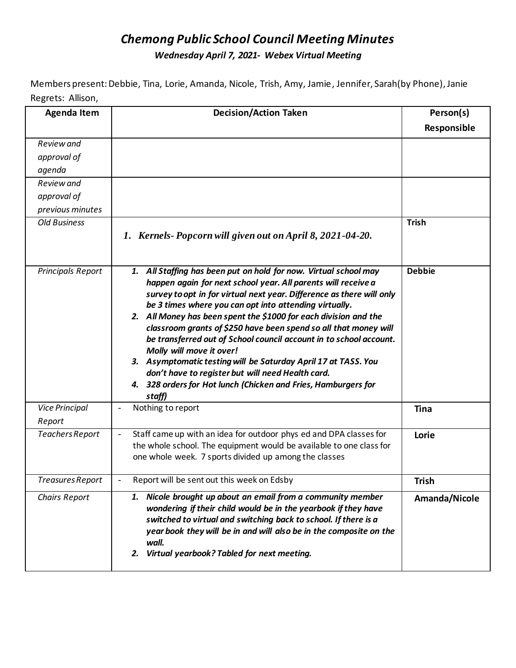## *Chemong Public School Council Meeting Minutes Wednesday April 7, 2021- Webex Virtual Meeting*

Members present: Debbie, Tina, Lorie, Amanda, Nicole, Trish, Amy, Jamie, Jennifer, Sarah(by Phone), Janie Regrets: Allison,

| <b>Agenda Item</b>              | <b>Decision/Action Taken</b>                                                                                                                                                                                                                                                                                                                                                                                                                                                                                                                                                                                                                                                                                      | Person(s)     |
|---------------------------------|-------------------------------------------------------------------------------------------------------------------------------------------------------------------------------------------------------------------------------------------------------------------------------------------------------------------------------------------------------------------------------------------------------------------------------------------------------------------------------------------------------------------------------------------------------------------------------------------------------------------------------------------------------------------------------------------------------------------|---------------|
|                                 |                                                                                                                                                                                                                                                                                                                                                                                                                                                                                                                                                                                                                                                                                                                   | Responsible   |
| Review and                      |                                                                                                                                                                                                                                                                                                                                                                                                                                                                                                                                                                                                                                                                                                                   |               |
| approval of                     |                                                                                                                                                                                                                                                                                                                                                                                                                                                                                                                                                                                                                                                                                                                   |               |
| agenda                          |                                                                                                                                                                                                                                                                                                                                                                                                                                                                                                                                                                                                                                                                                                                   |               |
| Review and                      |                                                                                                                                                                                                                                                                                                                                                                                                                                                                                                                                                                                                                                                                                                                   |               |
| approval of                     |                                                                                                                                                                                                                                                                                                                                                                                                                                                                                                                                                                                                                                                                                                                   |               |
| previous minutes                |                                                                                                                                                                                                                                                                                                                                                                                                                                                                                                                                                                                                                                                                                                                   |               |
| <b>Old Business</b>             | 1. Kernels-Popcorn will given out on April 8, 2021-04-20.                                                                                                                                                                                                                                                                                                                                                                                                                                                                                                                                                                                                                                                         | <b>Trish</b>  |
| Principals Report               | 1. All Staffing has been put on hold for now. Virtual school may<br>happen again for next school year. All parents will receive a<br>survey to opt in for virtual next year. Difference as there will only<br>be 3 times where you can opt into attending virtually.<br>2. All Money has been spent the \$1000 for each division and the<br>classroom grants of \$250 have been spend so all that money will<br>be transferred out of School council account in to school account.<br>Molly will move it over!<br>3. Asymptomatic testing will be Saturday April 17 at TASS. You<br>don't have to register but will need Health card.<br>4. 328 orders for Hot lunch (Chicken and Fries, Hamburgers for<br>staff) | <b>Debbie</b> |
| <b>Vice Principal</b><br>Report | Nothing to report                                                                                                                                                                                                                                                                                                                                                                                                                                                                                                                                                                                                                                                                                                 | <b>Tina</b>   |
| Teachers Report                 | Staff came up with an idea for outdoor phys ed and DPA classes for<br>the whole school. The equipment would be available to one class for<br>one whole week. 7 sports divided up among the classes                                                                                                                                                                                                                                                                                                                                                                                                                                                                                                                | Lorie         |
| Treasures Report                | Report will be sent out this week on Edsby                                                                                                                                                                                                                                                                                                                                                                                                                                                                                                                                                                                                                                                                        | <b>Trish</b>  |
| <b>Chairs Report</b>            | 1. Nicole brought up about an email from a community member<br>wondering if their child would be in the yearbook if they have<br>switched to virtual and switching back to school. If there is a<br>year book they will be in and will also be in the composite on the<br>wall.<br>Virtual yearbook? Tabled for next meeting.<br>2.                                                                                                                                                                                                                                                                                                                                                                               | Amanda/Nicole |